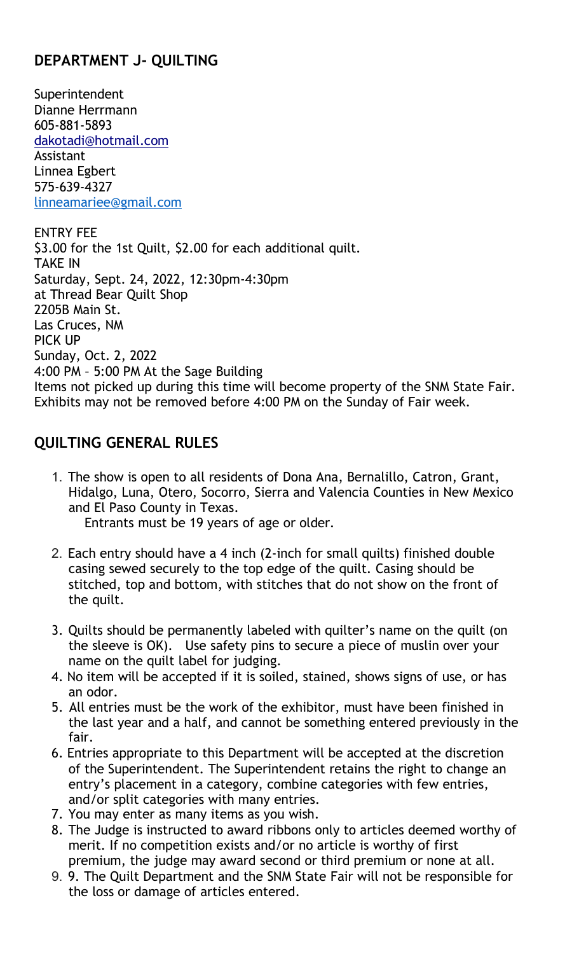## DEPARTMENT J- QUILTING

**Superintendent** Dianne Herrmann 605-881-5893 dakotadi@hotmail.com Assistant Linnea Egbert 575-639-4327 linneamariee@gmail.com

ENTRY FEE \$3.00 for the 1st Quilt, \$2.00 for each additional quilt. TAKE IN Saturday, Sept. 24, 2022, 12:30pm-4:30pm at Thread Bear Quilt Shop 2205B Main St. Las Cruces, NM PICK UP Sunday, Oct. 2, 2022 4:00 PM – 5:00 PM At the Sage Building Items not picked up during this time will become property of the SNM State Fair. Exhibits may not be removed before 4:00 PM on the Sunday of Fair week.

## QUILTING GENERAL RULES

1. The show is open to all residents of Dona Ana, Bernalillo, Catron, Grant, Hidalgo, Luna, Otero, Socorro, Sierra and Valencia Counties in New Mexico and El Paso County in Texas. Entrants must be 19 years of age or older.

2. Each entry should have a 4 inch (2-inch for small quilts) finished double casing sewed securely to the top edge of the quilt. Casing should be stitched, top and bottom, with stitches that do not show on the front of the quilt.

- 3. Quilts should be permanently labeled with quilter's name on the quilt (on the sleeve is OK). Use safety pins to secure a piece of muslin over your name on the quilt label for judging.
- 4. No item will be accepted if it is soiled, stained, shows signs of use, or has an odor.
- 5. All entries must be the work of the exhibitor, must have been finished in the last year and a half, and cannot be something entered previously in the fair.
- 6. Entries appropriate to this Department will be accepted at the discretion of the Superintendent. The Superintendent retains the right to change an entry's placement in a category, combine categories with few entries, and/or split categories with many entries.
- 7. You may enter as many items as you wish.
- 8. The Judge is instructed to award ribbons only to articles deemed worthy of merit. If no competition exists and/or no article is worthy of first premium, the judge may award second or third premium or none at all.
- 9. 9. The Quilt Department and the SNM State Fair will not be responsible for the loss or damage of articles entered.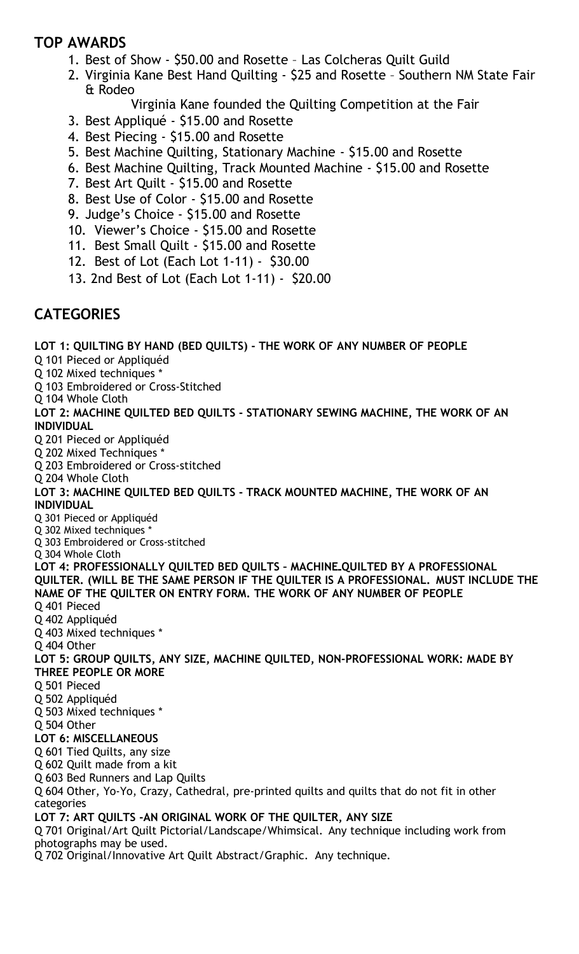## TOP AWARDS

- 1. Best of Show \$50.00 and Rosette Las Colcheras Quilt Guild
- 2. Virginia Kane Best Hand Quilting \$25 and Rosette Southern NM State Fair & Rodeo
	- Virginia Kane founded the Quilting Competition at the Fair
- 3. Best Appliqué \$15.00 and Rosette
- 4. Best Piecing \$15.00 and Rosette
- 5. Best Machine Quilting, Stationary Machine \$15.00 and Rosette
- 6. Best Machine Quilting, Track Mounted Machine \$15.00 and Rosette
- 7. Best Art Quilt \$15.00 and Rosette
- 8. Best Use of Color \$15.00 and Rosette
- 9. Judge's Choice \$15.00 and Rosette
- 10. Viewer's Choice \$15.00 and Rosette
- 11. Best Small Quilt \$15.00 and Rosette
- 12. Best of Lot (Each Lot 1-11) \$30.00
- 13. 2nd Best of Lot (Each Lot 1-11) \$20.00

## **CATEGORIES**

LOT 1: QUILTING BY HAND (BED QUILTS) - THE WORK OF ANY NUMBER OF PEOPLE Q 101 Pieced or Appliquéd Q 102 Mixed techniques \* Q 103 Embroidered or Cross-Stitched Q 104 Whole Cloth LOT 2: MACHINE QUILTED BED QUILTS - STATIONARY SEWING MACHINE, THE WORK OF AN INDIVIDUAL Q 201 Pieced or Appliquéd Q 202 Mixed Techniques \* Q 203 Embroidered or Cross-stitched Q 204 Whole Cloth LOT 3: MACHINE QUILTED BED QUILTS - TRACK MOUNTED MACHINE, THE WORK OF AN INDIVIDUAL Q 301 Pieced or Appliquéd Q 302 Mixed techniques \* Q 303 Embroidered or Cross-stitched Q 304 Whole Cloth LOT 4: PROFESSIONALLY QUILTED BED QUILTS – MACHINE QUILTED BY A PROFESSIONAL QUILTER. (WILL BE THE SAME PERSON IF THE QUILTER IS A PROFESSIONAL. MUST INCLUDE THE NAME OF THE QUILTER ON ENTRY FORM. THE WORK OF ANY NUMBER OF PEOPLE Q 401 Pieced Q 402 Appliquéd Q 403 Mixed techniques \* Q 404 Other LOT 5: GROUP QUILTS, ANY SIZE, MACHINE QUILTED, NON-PROFESSIONAL WORK: MADE BY THREE PEOPLE OR MORE Q 501 Pieced Q 502 Appliquéd Q 503 Mixed techniques \* Q 504 Other LOT 6: MISCELLANEOUS Q 601 Tied Quilts, any size Q 602 Quilt made from a kit Q 603 Bed Runners and Lap Quilts Q 604 Other, Yo-Yo, Crazy, Cathedral, pre-printed quilts and quilts that do not fit in other categories LOT 7: ART QUILTS -AN ORIGINAL WORK OF THE QUILTER, ANY SIZE Q 701 Original/Art Quilt Pictorial/Landscape/Whimsical. Any technique including work from photographs may be used. Q 702 Original/Innovative Art Quilt Abstract/Graphic. Any technique.